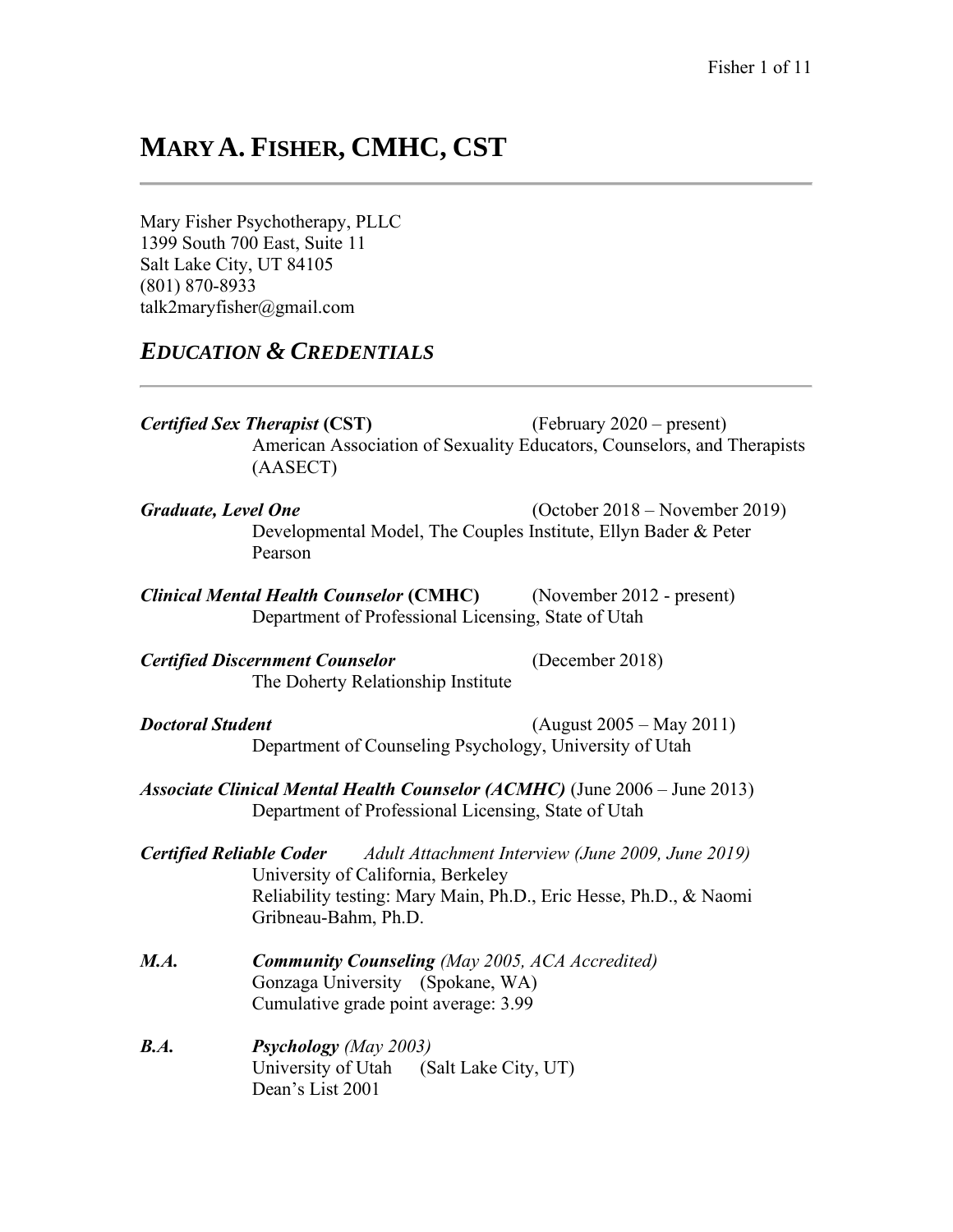# **MARY A. FISHER, CMHC, CST**

Mary Fisher Psychotherapy, PLLC 1399 South 700 East, Suite 11 Salt Lake City, UT 84105 (801) 870-8933 talk2maryfisher@gmail.com

## *EDUCATION & CREDENTIALS*

*Certified Sex Therapist* **(CST)** (February 2020 – present) American Association of Sexuality Educators, Counselors, and Therapists (AASECT)

- *Graduate, Level One* (October 2018 November 2019) Developmental Model, The Couples Institute, Ellyn Bader & Peter Pearson
- *Clinical Mental Health Counselor* **(CMHC)** (November 2012 present) Department of Professional Licensing, State of Utah

*Certified Discernment Counselor* (December 2018) The Doherty Relationship Institute

- *Doctoral Student* (August 2005 May 2011) Department of Counseling Psychology, University of Utah
- *Associate Clinical Mental Health Counselor (ACMHC)* (June 2006 June 2013) Department of Professional Licensing, State of Utah
- *Certified Reliable Coder Adult Attachment Interview (June 2009, June 2019)* University of California, Berkeley Reliability testing: Mary Main, Ph.D., Eric Hesse, Ph.D., & Naomi Gribneau-Bahm, Ph.D.
- *M.A. Community Counseling (May 2005, ACA Accredited)* Gonzaga University (Spokane, WA) Cumulative grade point average: 3.99
- *B.A. Psychology (May 2003)* University of Utah (Salt Lake City, UT) Dean's List 2001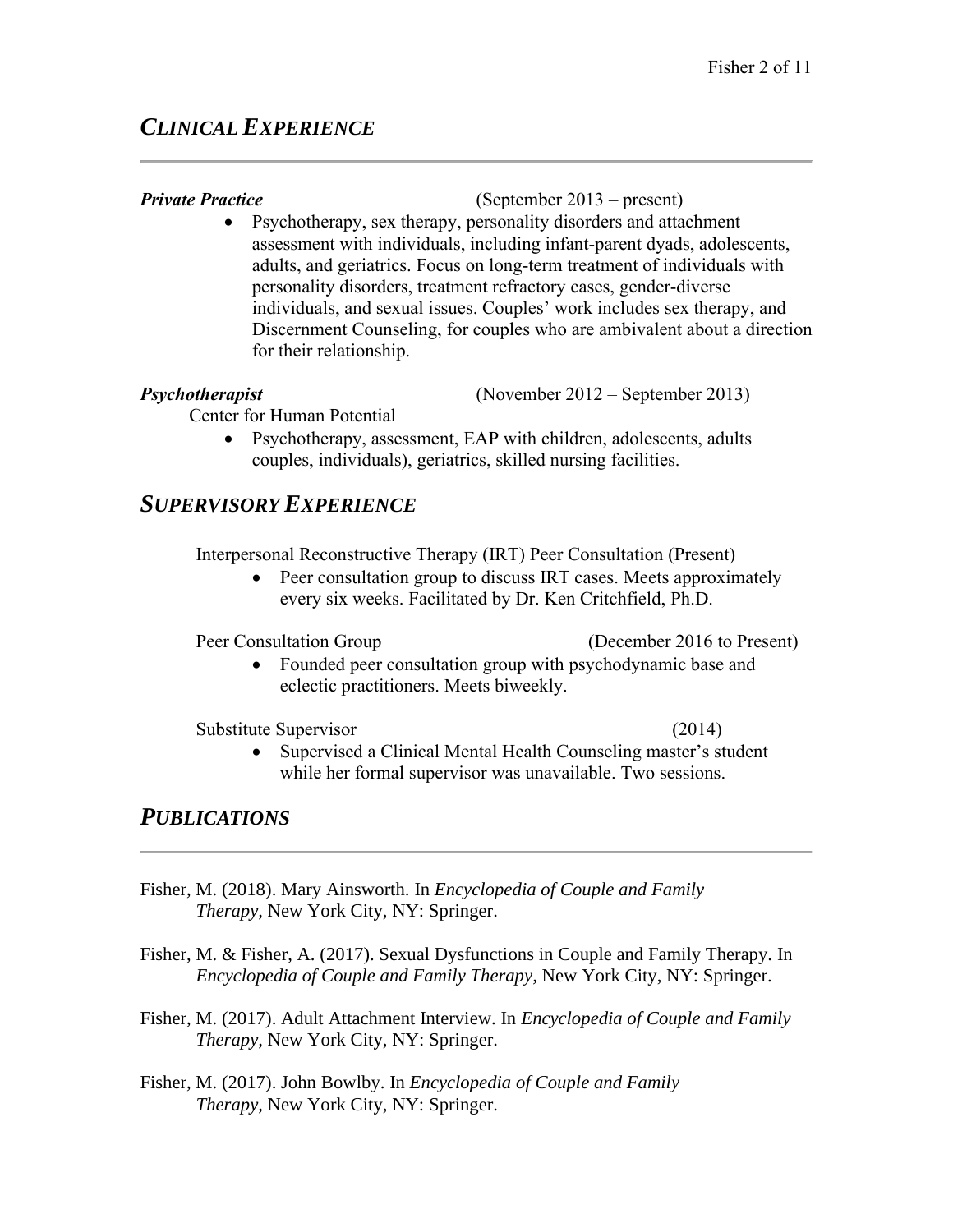## *CLINICAL EXPERIENCE*

### *Private Practice* (September 2013 – present)

• Psychotherapy, sex therapy, personality disorders and attachment assessment with individuals, including infant-parent dyads, adolescents, adults, and geriatrics. Focus on long-term treatment of individuals with personality disorders, treatment refractory cases, gender-diverse individuals, and sexual issues. Couples' work includes sex therapy, and Discernment Counseling, for couples who are ambivalent about a direction for their relationship.

*Psychotherapist* (November 2012 – September 2013)

Center for Human Potential

• Psychotherapy, assessment, EAP with children, adolescents, adults couples, individuals), geriatrics, skilled nursing facilities.

## *SUPERVISORY EXPERIENCE*

Interpersonal Reconstructive Therapy (IRT) Peer Consultation (Present)

• Peer consultation group to discuss IRT cases. Meets approximately every six weeks. Facilitated by Dr. Ken Critchfield, Ph.D.

Peer Consultation Group (December 2016 to Present)

• Founded peer consultation group with psychodynamic base and eclectic practitioners. Meets biweekly.

Substitute Supervisor (2014)

• Supervised a Clinical Mental Health Counseling master's student while her formal supervisor was unavailable. Two sessions.

## *PUBLICATIONS*

- Fisher, M. (2018). Mary Ainsworth. In *Encyclopedia of Couple and Family Therapy,* New York City, NY: Springer.
- Fisher, M. & Fisher, A. (2017). Sexual Dysfunctions in Couple and Family Therapy. In *Encyclopedia of Couple and Family Therapy,* New York City, NY: Springer.
- Fisher, M. (2017). Adult Attachment Interview. In *Encyclopedia of Couple and Family Therapy,* New York City, NY: Springer.
- Fisher, M. (2017). John Bowlby. In *Encyclopedia of Couple and Family Therapy,* New York City, NY: Springer.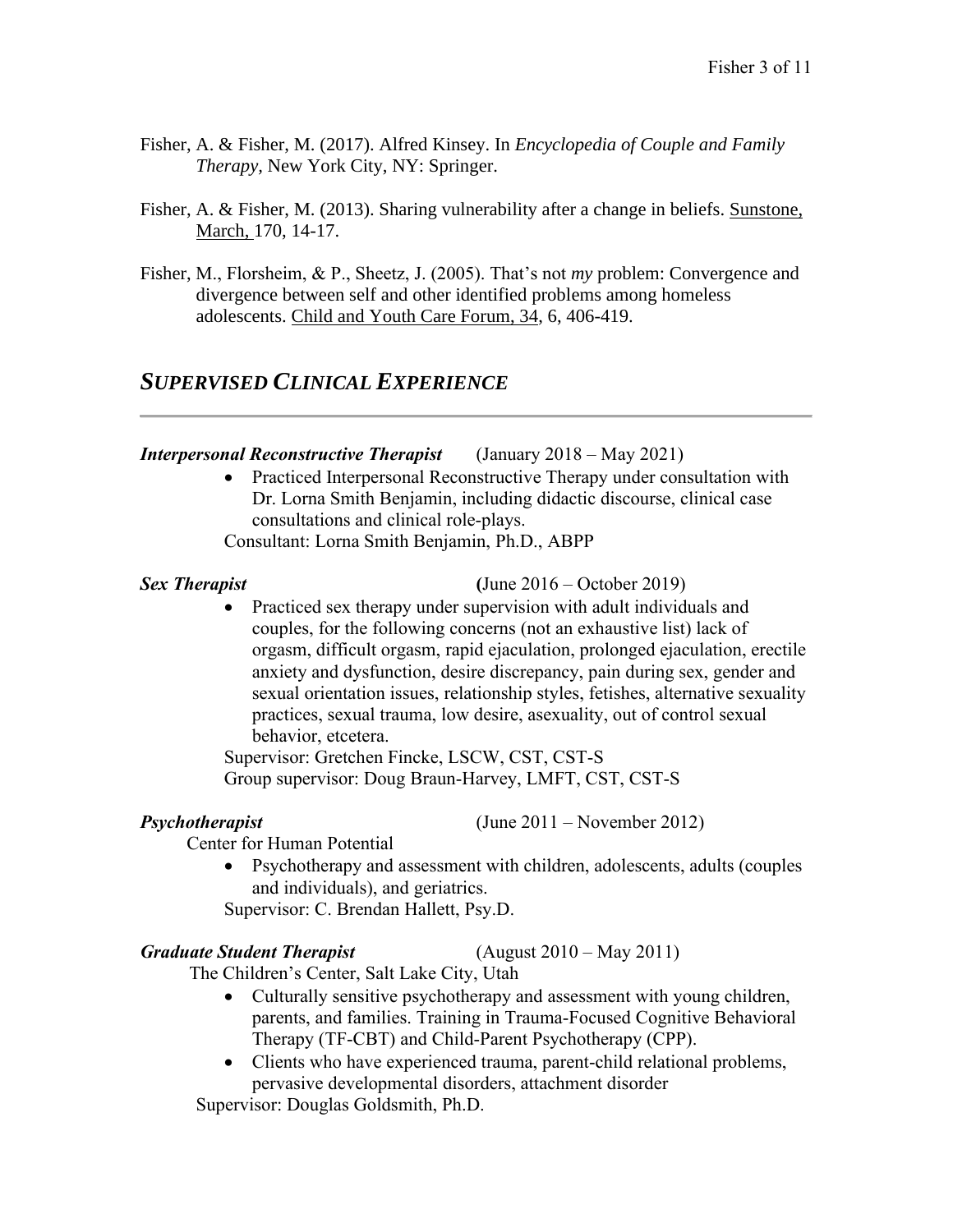- Fisher, A. & Fisher, M. (2017). Alfred Kinsey. In *Encyclopedia of Couple and Family Therapy,* New York City, NY: Springer.
- Fisher, A. & Fisher, M. (2013). Sharing vulnerability after a change in beliefs. Sunstone, March, 170, 14-17.
- Fisher, M., Florsheim, & P., Sheetz, J. (2005). That's not *my* problem: Convergence and divergence between self and other identified problems among homeless adolescents. Child and Youth Care Forum, 34, 6, 406-419.

## *SUPERVISED CLINICAL EXPERIENCE*

### *Interpersonal Reconstructive Therapist* (January 2018 – May 2021)

• Practiced Interpersonal Reconstructive Therapy under consultation with Dr. Lorna Smith Benjamin, including didactic discourse, clinical case consultations and clinical role-plays.

Consultant: Lorna Smith Benjamin, Ph.D., ABPP

### *Sex Therapist* **(**June 2016 – October 2019)

• Practiced sex therapy under supervision with adult individuals and couples, for the following concerns (not an exhaustive list) lack of orgasm, difficult orgasm, rapid ejaculation, prolonged ejaculation, erectile anxiety and dysfunction, desire discrepancy, pain during sex, gender and sexual orientation issues, relationship styles, fetishes, alternative sexuality practices, sexual trauma, low desire, asexuality, out of control sexual behavior, etcetera.

Supervisor: Gretchen Fincke, LSCW, CST, CST-S Group supervisor: Doug Braun-Harvey, LMFT, CST, CST-S

*Psychotherapist* (June 2011 – November 2012)

**Center for Human Potential** 

• Psychotherapy and assessment with children, adolescents, adults (couples and individuals), and geriatrics.

Supervisor: C. Brendan Hallett, Psy.D.

### *Graduate Student Therapist* (August 2010 – May 2011)

The Children's Center, Salt Lake City, Utah

- Culturally sensitive psychotherapy and assessment with young children, parents, and families. Training in Trauma-Focused Cognitive Behavioral Therapy (TF-CBT) and Child-Parent Psychotherapy (CPP).
- Clients who have experienced trauma, parent-child relational problems, pervasive developmental disorders, attachment disorder

Supervisor: Douglas Goldsmith, Ph.D.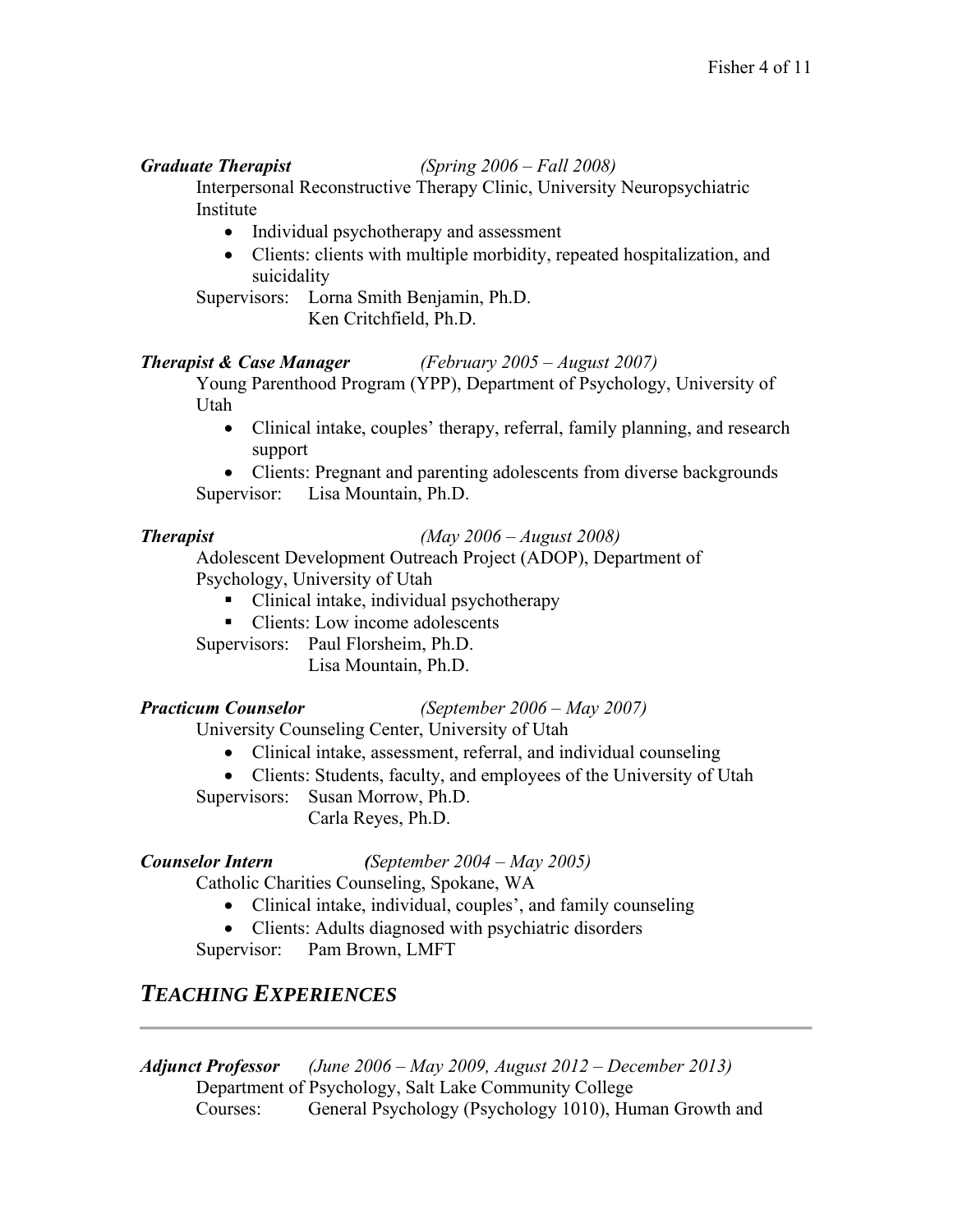### *Graduate Therapist (Spring 2006 – Fall 2008)*

Interpersonal Reconstructive Therapy Clinic, University Neuropsychiatric Institute

- Individual psychotherapy and assessment
- Clients: clients with multiple morbidity, repeated hospitalization, and suicidality

Supervisors: Lorna Smith Benjamin, Ph.D. Ken Critchfield, Ph.D.

### *Therapist & Case Manager (February 2005 – August 2007)*

Young Parenthood Program (YPP), Department of Psychology, University of Utah

• Clinical intake, couples' therapy, referral, family planning, and research support

• Clients: Pregnant and parenting adolescents from diverse backgrounds Supervisor: Lisa Mountain, Ph.D.

### *Therapist (May 2006 – August 2008)*

Adolescent Development Outreach Project (ADOP), Department of Psychology, University of Utah

- Clinical intake, individual psychotherapy
- Clients: Low income adolescents

Supervisors: Paul Florsheim, Ph.D.

Lisa Mountain, Ph.D.

*Practicum Counselor (September 2006 – May 2007)*

University Counseling Center, University of Utah

- Clinical intake, assessment, referral, and individual counseling
- Clients: Students, faculty, and employees of the University of Utah
- Supervisors: Susan Morrow, Ph.D. Carla Reyes, Ph.D.

*Counselor Intern (September 2004 – May 2005)*

Catholic Charities Counseling, Spokane, WA

- Clinical intake, individual, couples', and family counseling
- Clients: Adults diagnosed with psychiatric disorders

Supervisor: Pam Brown, LMFT

## *TEACHING EXPERIENCES*

*Adjunct Professor (June 2006 – May 2009, August 2012 – December 2013)* Department of Psychology, Salt Lake Community College Courses: General Psychology (Psychology 1010), Human Growth and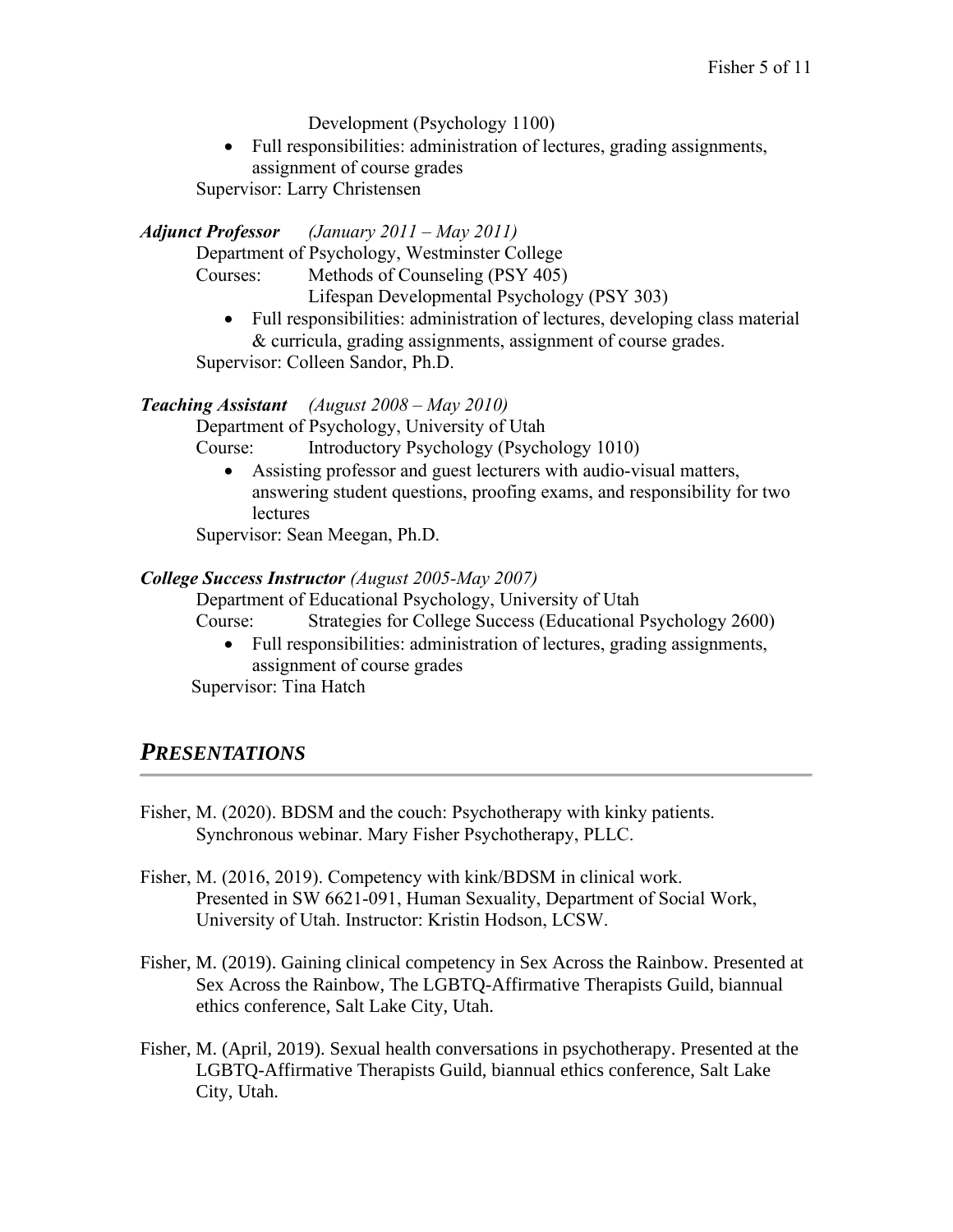Development (Psychology 1100)

• Full responsibilities: administration of lectures, grading assignments, assignment of course grades

Supervisor: Larry Christensen

*Adjunct Professor (January 2011 – May 2011)*

Department of Psychology, Westminster College

Courses: Methods of Counseling (PSY 405)

Lifespan Developmental Psychology (PSY 303)

• Full responsibilities: administration of lectures, developing class material & curricula, grading assignments, assignment of course grades. Supervisor: Colleen Sandor, Ph.D.

### *Teaching Assistant (August 2008 – May 2010)*

Department of Psychology, University of Utah

Course: Introductory Psychology (Psychology 1010)

• Assisting professor and guest lecturers with audio-visual matters, answering student questions, proofing exams, and responsibility for two lectures

Supervisor: Sean Meegan, Ph.D.

### *College Success Instructor (August 2005-May 2007)*

Department of Educational Psychology, University of Utah

Course: Strategies for College Success (Educational Psychology 2600)

• Full responsibilities: administration of lectures, grading assignments, assignment of course grades

Supervisor: Tina Hatch

## *PRESENTATIONS*

- Fisher, M. (2020). BDSM and the couch: Psychotherapy with kinky patients. Synchronous webinar. Mary Fisher Psychotherapy, PLLC.
- Fisher, M. (2016, 2019). Competency with kink/BDSM in clinical work. Presented in SW 6621-091, Human Sexuality, Department of Social Work, University of Utah. Instructor: Kristin Hodson, LCSW.
- Fisher, M. (2019). Gaining clinical competency in Sex Across the Rainbow. Presented at Sex Across the Rainbow, The LGBTQ-Affirmative Therapists Guild, biannual ethics conference, Salt Lake City, Utah.
- Fisher, M. (April, 2019). Sexual health conversations in psychotherapy. Presented at the LGBTQ-Affirmative Therapists Guild, biannual ethics conference, Salt Lake City, Utah.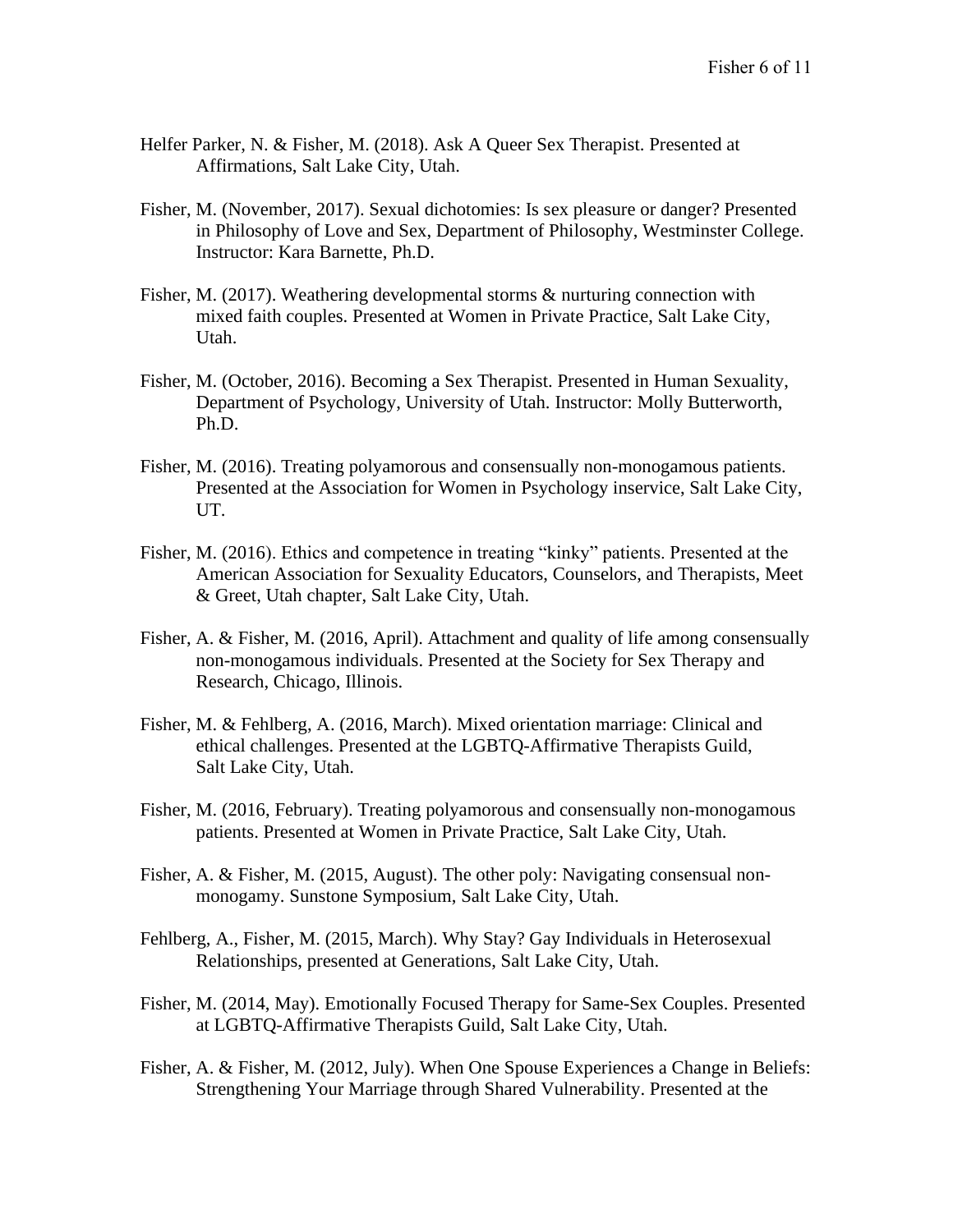- Helfer Parker, N. & Fisher, M. (2018). Ask A Queer Sex Therapist. Presented at Affirmations, Salt Lake City, Utah.
- Fisher, M. (November, 2017). Sexual dichotomies: Is sex pleasure or danger? Presented in Philosophy of Love and Sex, Department of Philosophy, Westminster College. Instructor: Kara Barnette, Ph.D.
- Fisher, M. (2017). Weathering developmental storms & nurturing connection with mixed faith couples. Presented at Women in Private Practice, Salt Lake City, Utah.
- Fisher, M. (October, 2016). Becoming a Sex Therapist. Presented in Human Sexuality, Department of Psychology, University of Utah. Instructor: Molly Butterworth, Ph.D.
- Fisher, M. (2016). Treating polyamorous and consensually non-monogamous patients. Presented at the Association for Women in Psychology inservice, Salt Lake City, UT.
- Fisher, M. (2016). Ethics and competence in treating "kinky" patients. Presented at the American Association for Sexuality Educators, Counselors, and Therapists, Meet & Greet, Utah chapter, Salt Lake City, Utah.
- Fisher, A. & Fisher, M. (2016, April). Attachment and quality of life among consensually non-monogamous individuals. Presented at the Society for Sex Therapy and Research, Chicago, Illinois.
- Fisher, M. & Fehlberg, A. (2016, March). Mixed orientation marriage: Clinical and ethical challenges. Presented at the LGBTQ-Affirmative Therapists Guild, Salt Lake City, Utah.
- Fisher, M. (2016, February). Treating polyamorous and consensually non-monogamous patients. Presented at Women in Private Practice, Salt Lake City, Utah.
- Fisher, A. & Fisher, M. (2015, August). The other poly: Navigating consensual nonmonogamy. Sunstone Symposium, Salt Lake City, Utah.
- Fehlberg, A., Fisher, M. (2015, March). Why Stay? Gay Individuals in Heterosexual Relationships, presented at Generations, Salt Lake City, Utah.
- Fisher, M. (2014, May). Emotionally Focused Therapy for Same-Sex Couples. Presented at LGBTQ-Affirmative Therapists Guild, Salt Lake City, Utah.
- Fisher, A. & Fisher, M. (2012, July). When One Spouse Experiences a Change in Beliefs: Strengthening Your Marriage through Shared Vulnerability. Presented at the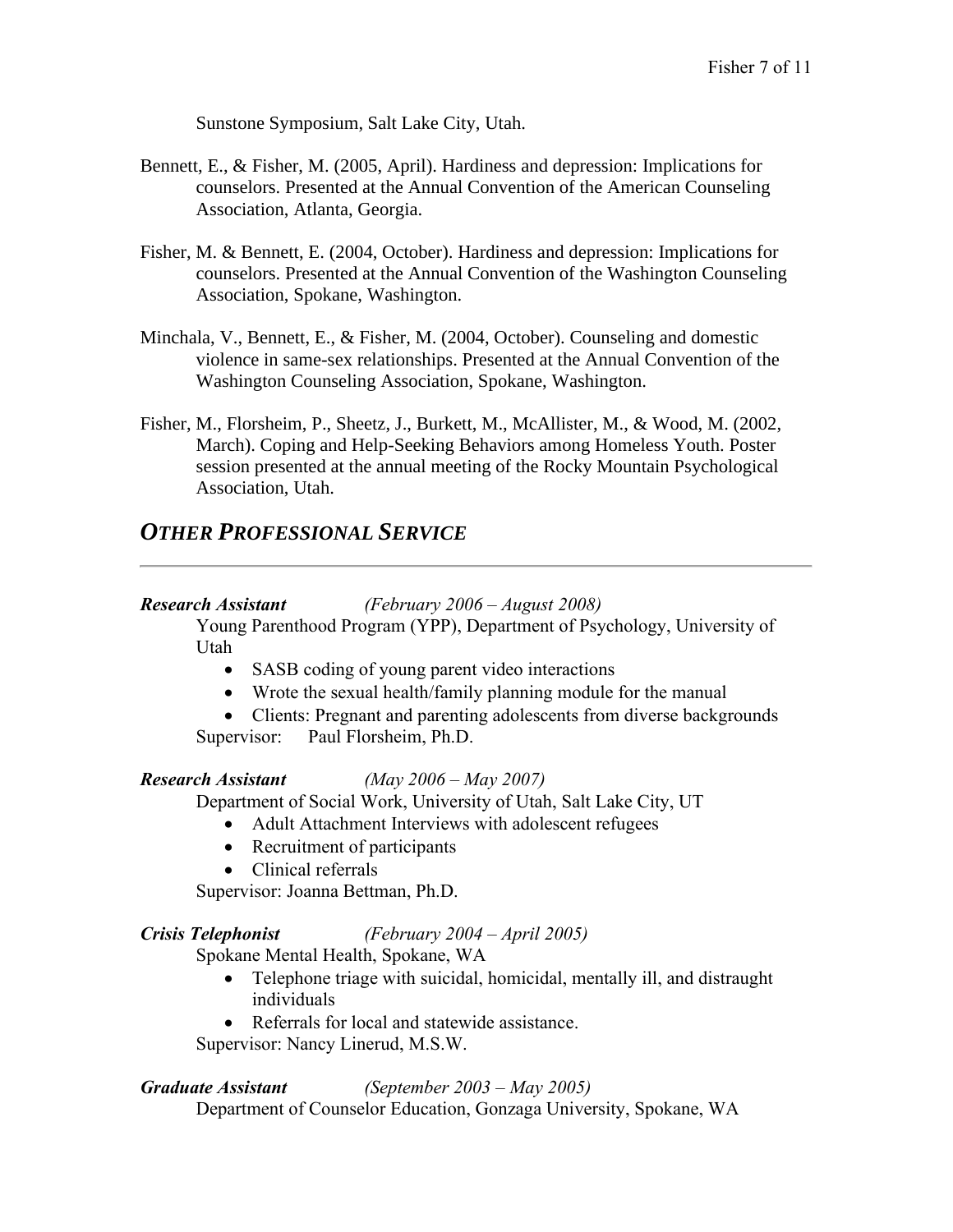Sunstone Symposium, Salt Lake City, Utah.

- Bennett, E., & Fisher, M. (2005, April). Hardiness and depression: Implications for counselors. Presented at the Annual Convention of the American Counseling Association, Atlanta, Georgia.
- Fisher, M. & Bennett, E. (2004, October). Hardiness and depression: Implications for counselors. Presented at the Annual Convention of the Washington Counseling Association, Spokane, Washington.
- Minchala, V., Bennett, E., & Fisher, M. (2004, October). Counseling and domestic violence in same-sex relationships. Presented at the Annual Convention of the Washington Counseling Association, Spokane, Washington.
- Fisher, M., Florsheim, P., Sheetz, J., Burkett, M., McAllister, M., & Wood, M. (2002, March). Coping and Help-Seeking Behaviors among Homeless Youth. Poster session presented at the annual meeting of the Rocky Mountain Psychological Association, Utah.

## *OTHER PROFESSIONAL SERVICE*

### *Research Assistant (February 2006 – August 2008)*

Young Parenthood Program (YPP), Department of Psychology, University of Utah

- SASB coding of young parent video interactions
- Wrote the sexual health/family planning module for the manual
- Clients: Pregnant and parenting adolescents from diverse backgrounds Supervisor: Paul Florsheim, Ph.D.

### *Research Assistant (May 2006 – May 2007)*

Department of Social Work, University of Utah, Salt Lake City, UT

- Adult Attachment Interviews with adolescent refugees
- Recruitment of participants
- Clinical referrals

Supervisor: Joanna Bettman, Ph.D.

### *Crisis Telephonist (February 2004 – April 2005)*

Spokane Mental Health, Spokane, WA

- Telephone triage with suicidal, homicidal, mentally ill, and distraught individuals
- Referrals for local and statewide assistance.

Supervisor: Nancy Linerud, M.S.W.

### *Graduate Assistant (September 2003 – May 2005)*

Department of Counselor Education, Gonzaga University, Spokane, WA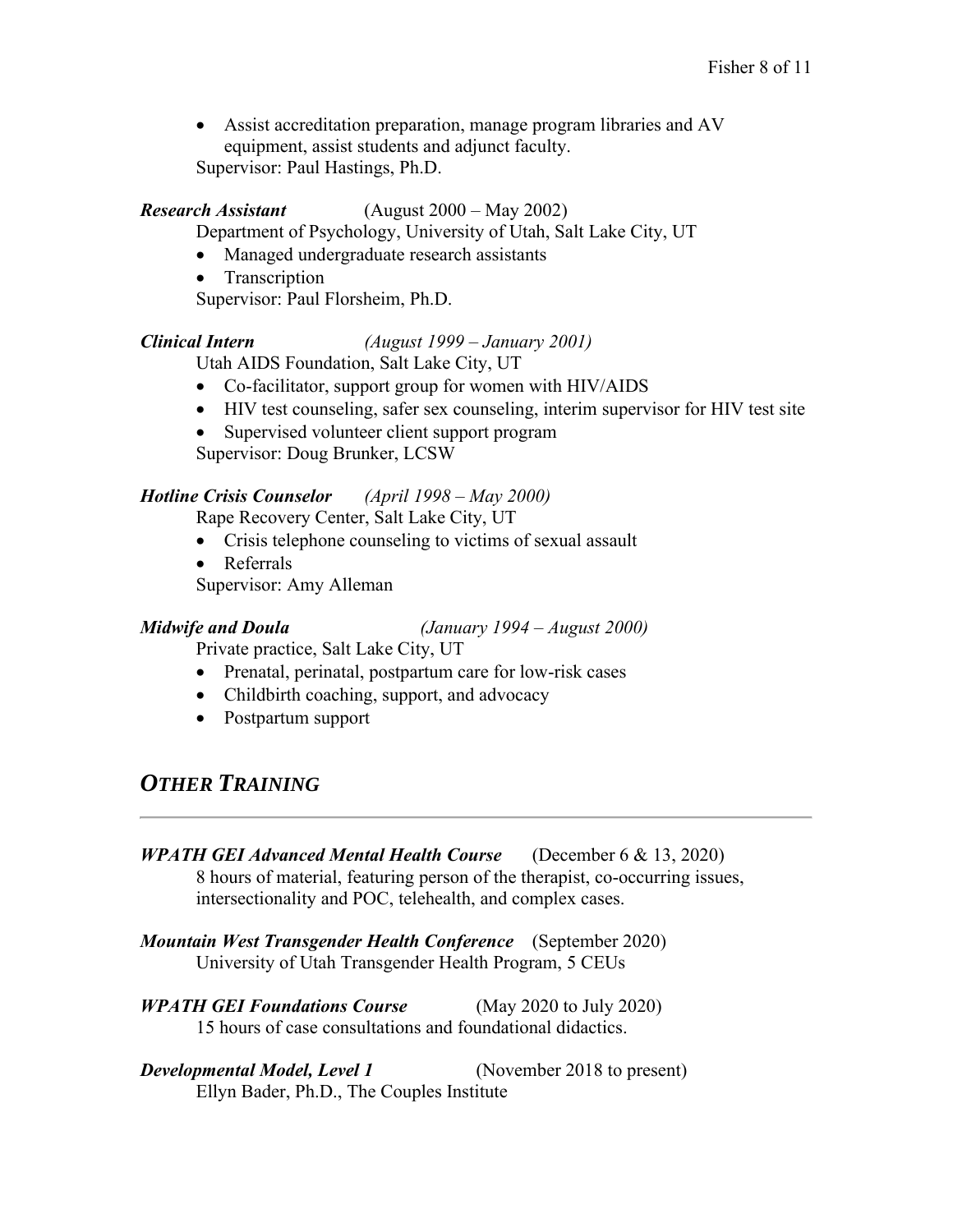• Assist accreditation preparation, manage program libraries and AV equipment, assist students and adjunct faculty. Supervisor: Paul Hastings, Ph.D.

### *Research Assistant* (August 2000 – May 2002)

Department of Psychology, University of Utah, Salt Lake City, UT

- Managed undergraduate research assistants
- Transcription
- Supervisor: Paul Florsheim, Ph.D.

### *Clinical Intern (August 1999 – January 2001)*

Utah AIDS Foundation, Salt Lake City, UT

- Co-facilitator, support group for women with HIV/AIDS
- HIV test counseling, safer sex counseling, interim supervisor for HIV test site
- Supervised volunteer client support program

Supervisor: Doug Brunker, LCSW

### *Hotline Crisis Counselor (April 1998 – May 2000)*

Rape Recovery Center, Salt Lake City, UT

- Crisis telephone counseling to victims of sexual assault
- Referrals
- Supervisor: Amy Alleman

*Midwife and Doula (January 1994 – August 2000)*

Private practice, Salt Lake City, UT

- Prenatal, perinatal, postpartum care for low-risk cases
- Childbirth coaching, support, and advocacy
- Postpartum support

## *OTHER TRAINING*

*WPATH GEI Advanced Mental Health Course* (December 6 & 13, 2020) 8 hours of material, featuring person of the therapist, co-occurring issues, intersectionality and POC, telehealth, and complex cases.

- *Mountain West Transgender Health Conference* (September 2020) University of Utah Transgender Health Program, 5 CEUs
- *WPATH GEI Foundations Course* (May 2020 to July 2020) 15 hours of case consultations and foundational didactics.
- *Developmental Model, Level 1* (November 2018 to present) Ellyn Bader, Ph.D., The Couples Institute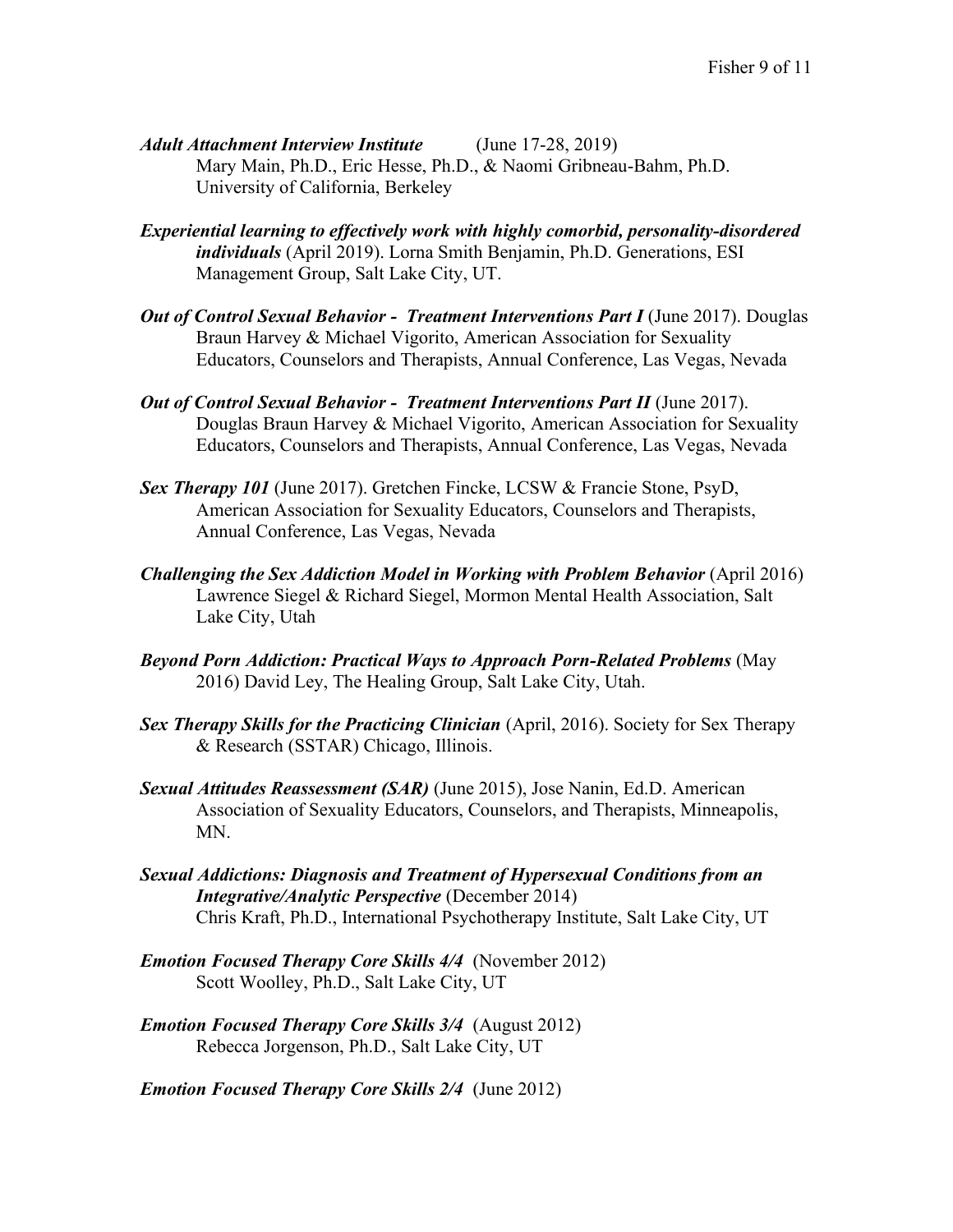- *Adult Attachment Interview Institute* (June 17-28, 2019) Mary Main, Ph.D., Eric Hesse, Ph.D., & Naomi Gribneau-Bahm, Ph.D. University of California, Berkeley
- *Experiential learning to effectively work with highly comorbid, personality-disordered individuals* (April 2019). Lorna Smith Benjamin, Ph.D. Generations, ESI Management Group, Salt Lake City, UT.
- *Out of Control Sexual Behavior Treatment Interventions Part I (June 2017). Douglas* Braun Harvey & Michael Vigorito, American Association for Sexuality Educators, Counselors and Therapists, Annual Conference, Las Vegas, Nevada
- *Out of Control Sexual Behavior Treatment Interventions Part II* (June 2017). Douglas Braun Harvey & Michael Vigorito, American Association for Sexuality Educators, Counselors and Therapists, Annual Conference, Las Vegas, Nevada
- *Sex Therapy 101* (June 2017). Gretchen Fincke, LCSW & Francie Stone, PsyD, American Association for Sexuality Educators, Counselors and Therapists, Annual Conference, Las Vegas, Nevada
- *Challenging the Sex Addiction Model in Working with Problem Behavior* (April 2016) Lawrence Siegel & Richard Siegel, Mormon Mental Health Association, Salt Lake City, Utah
- *Beyond Porn Addiction: Practical Ways to Approach Porn-Related Problems* (May 2016) David Ley, The Healing Group, Salt Lake City, Utah.
- *Sex Therapy Skills for the Practicing Clinician (April, 2016). Society for Sex Therapy* & Research (SSTAR) Chicago, Illinois.
- *Sexual Attitudes Reassessment (SAR)* (June 2015), Jose Nanin, Ed.D. American Association of Sexuality Educators, Counselors, and Therapists, Minneapolis, MN.
- *Sexual Addictions: Diagnosis and Treatment of Hypersexual Conditions from an Integrative/Analytic Perspective* (December 2014) Chris Kraft, Ph.D., International Psychotherapy Institute, Salt Lake City, UT
- *Emotion Focused Therapy Core Skills 4/4* (November 2012) Scott Woolley, Ph.D., Salt Lake City, UT
- *Emotion Focused Therapy Core Skills 3/4* (August 2012) Rebecca Jorgenson, Ph.D., Salt Lake City, UT

*Emotion Focused Therapy Core Skills 2/4* (June 2012)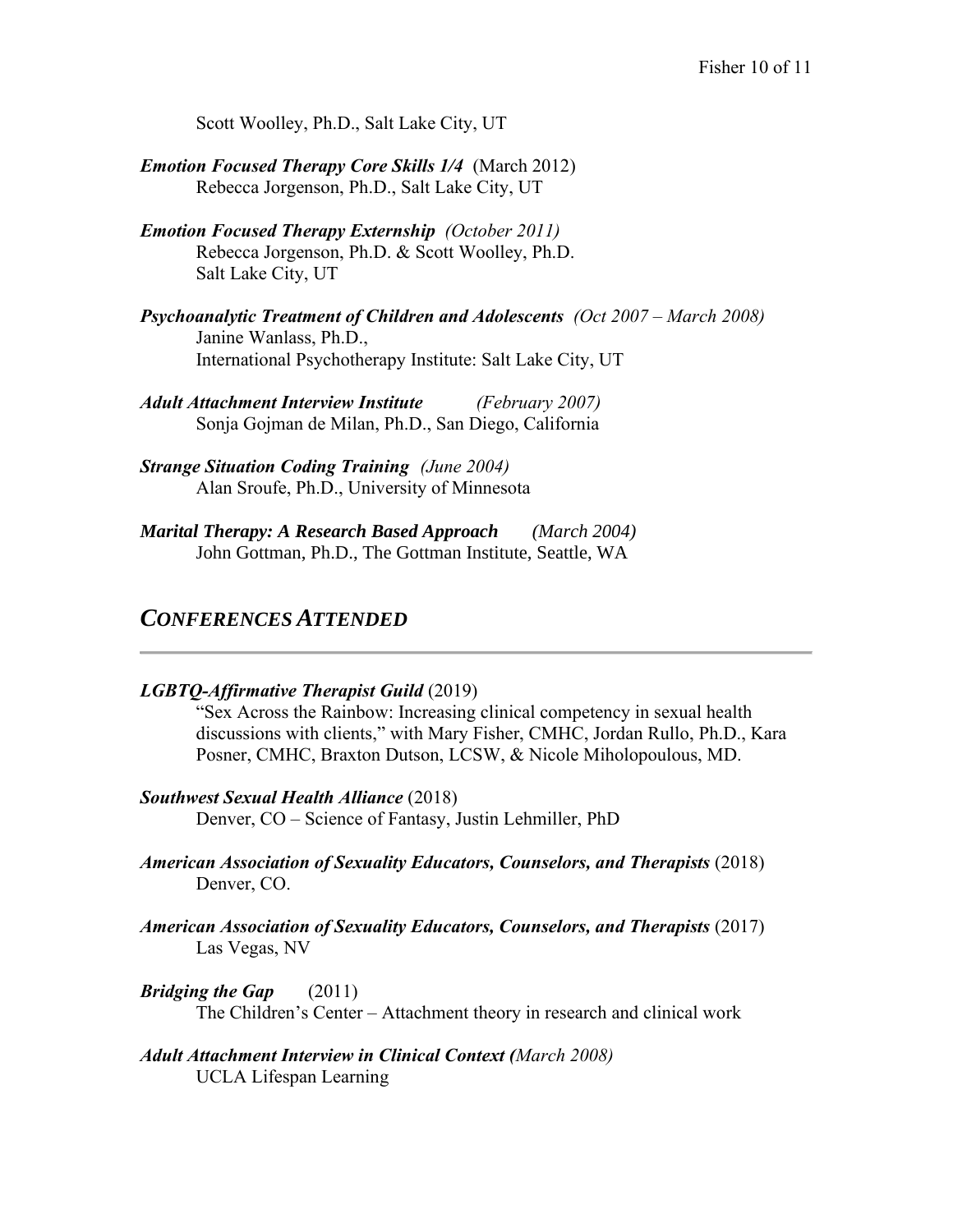Scott Woolley, Ph.D., Salt Lake City, UT

- *Emotion Focused Therapy Core Skills 1/4* (March 2012) Rebecca Jorgenson, Ph.D., Salt Lake City, UT
- *Emotion Focused Therapy Externship (October 2011)* Rebecca Jorgenson, Ph.D. & Scott Woolley, Ph.D. Salt Lake City, UT
- **Psychoanalytic Treatment of Children and Adolescents** (Oct 2007 March 2008) Janine Wanlass, Ph.D., International Psychotherapy Institute: Salt Lake City, UT
- *Adult Attachment Interview Institute (February 2007)* Sonja Gojman de Milan, Ph.D., San Diego, California
- *Strange Situation Coding Training (June 2004)*  Alan Sroufe, Ph.D., University of Minnesota
- *Marital Therapy: A Research Based Approach (March 2004)* John Gottman, Ph.D., The Gottman Institute, Seattle, WA

## *CONFERENCES ATTENDED*

### *LGBTQ-Affirmative Therapist Guild* (2019)

"Sex Across the Rainbow: Increasing clinical competency in sexual health discussions with clients," with Mary Fisher, CMHC, Jordan Rullo, Ph.D., Kara Posner, CMHC, Braxton Dutson, LCSW, & Nicole Miholopoulous, MD.

- *Southwest Sexual Health Alliance* (2018) Denver, CO – Science of Fantasy, Justin Lehmiller, PhD
- *American Association of Sexuality Educators, Counselors, and Therapists* (2018) Denver, CO.
- *American Association of Sexuality Educators, Counselors, and Therapists* (2017) Las Vegas, NV
- *Bridging the Gap* (2011) The Children's Center – Attachment theory in research and clinical work
- *Adult Attachment Interview in Clinical Context (March 2008)* UCLA Lifespan Learning